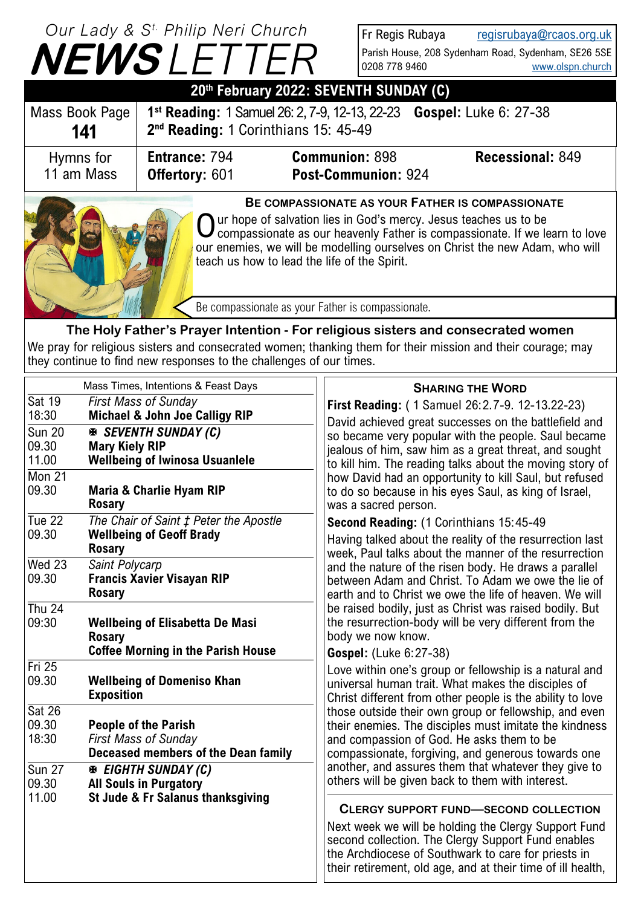| Our Lady & S <sup>t.</sup> Philip Neri Church |
|-----------------------------------------------|
| <b>NEWSLETTER</b>                             |
| <u>AAth F.L AAAA. AF</u>                      |

Fr Regis Rubaya [regisrubaya@rcaos.org.uk](mailto:regisrubaya@rcaos.org.uk) Parish House, 208 Sydenham Road, Sydenham, SE26 5SE<br>0208 778 9460 www.olspn.church [www.olspn.church](http://www.olspn.church)

| 20th February 2022: SEVENTH SUNDAY (C)                                                                                                                                                                                                                                                                                                |                                                                                                                                         |                                                     |                         |  |  |  |
|---------------------------------------------------------------------------------------------------------------------------------------------------------------------------------------------------------------------------------------------------------------------------------------------------------------------------------------|-----------------------------------------------------------------------------------------------------------------------------------------|-----------------------------------------------------|-------------------------|--|--|--|
| Mass Book Page<br>141                                                                                                                                                                                                                                                                                                                 | Gospel: Luke 6: 27-38<br>1 <sup>st</sup> Reading: 1 Samuel 26: 2, 7-9, 12-13, 22-23<br>2 <sup>nd</sup> Reading: 1 Corinthians 15: 45-49 |                                                     |                         |  |  |  |
| Hymns for<br>11 am Mass                                                                                                                                                                                                                                                                                                               | Entrance: 794<br><b>Offertory: 601</b>                                                                                                  | <b>Communion: 898</b><br><b>Post-Communion: 924</b> | <b>Recessional: 849</b> |  |  |  |
| BE COMPASSIONATE AS YOUR FATHER IS COMPASSIONATE<br>Our hope of salvation lies in God's mercy. Jesus teaches us to be<br>O compassionate as our heavenly Father is compassionate. If we learn to love<br>our enemies, we will be modelling ourselves on Christ the new Adam, who will<br>teach us how to lead the life of the Spirit. |                                                                                                                                         |                                                     |                         |  |  |  |
| Be compassionate as your Father is compassionate.                                                                                                                                                                                                                                                                                     |                                                                                                                                         |                                                     |                         |  |  |  |

**The Holy Father's Prayer Intention - For religious sisters and consecrated women** We pray for religious sisters and consecrated women; thanking them for their mission and their courage; may they continue to find new responses to the challenges of our times.

|                        | Mass Times, Intentions & Feast Days                                      | <b>SHARING THE WORD</b>                                                                                        |
|------------------------|--------------------------------------------------------------------------|----------------------------------------------------------------------------------------------------------------|
| <b>Sat 19</b>          | <b>First Mass of Sunday</b>                                              | First Reading: (1 Samuel 26:2.7-9. 12-13.22-23)                                                                |
| 18:30<br><b>Sun 20</b> | <b>Michael &amp; John Joe Calligy RIP</b><br><b>E</b> SEVENTH SUNDAY (C) | David achieved great successes on the battlefield and                                                          |
| 09.30                  | <b>Mary Kiely RIP</b>                                                    | so became very popular with the people. Saul became                                                            |
| 11.00                  | <b>Wellbeing of Iwinosa Usuanlele</b>                                    | jealous of him, saw him as a great threat, and sought                                                          |
| $M$ on 21              |                                                                          | to kill him. The reading talks about the moving story of                                                       |
| 09.30                  | <b>Maria &amp; Charlie Hyam RIP</b>                                      | how David had an opportunity to kill Saul, but refused                                                         |
|                        | <b>Rosary</b>                                                            | to do so because in his eyes Saul, as king of Israel,<br>was a sacred person.                                  |
| Tue 22                 | The Chair of Saint $\ddagger$ Peter the Apostle                          | Second Reading: (1 Corinthians 15:45-49                                                                        |
| 09.30                  | <b>Wellbeing of Geoff Brady</b>                                          |                                                                                                                |
|                        | <b>Rosary</b>                                                            | Having talked about the reality of the resurrection last                                                       |
| $Wed$ 23               | Saint Polycarp                                                           | week, Paul talks about the manner of the resurrection<br>and the nature of the risen body. He draws a parallel |
| 09.30                  | <b>Francis Xavier Visayan RIP</b>                                        | between Adam and Christ. To Adam we owe the lie of                                                             |
|                        | <b>Rosary</b>                                                            | earth and to Christ we owe the life of heaven. We will                                                         |
| <b>Thu 24</b>          |                                                                          | be raised bodily, just as Christ was raised bodily. But                                                        |
| 09:30                  | <b>Wellbeing of Elisabetta De Masi</b>                                   | the resurrection-body will be very different from the                                                          |
|                        | <b>Rosary</b>                                                            | body we now know.                                                                                              |
|                        | <b>Coffee Morning in the Parish House</b>                                | Gospel: (Luke 6:27-38)                                                                                         |
| Fri 25                 |                                                                          | Love within one's group or fellowship is a natural and                                                         |
| 09.30                  | <b>Wellbeing of Domeniso Khan</b>                                        | universal human trait. What makes the disciples of                                                             |
|                        | <b>Exposition</b>                                                        | Christ different from other people is the ability to love                                                      |
| Sat 26                 |                                                                          | those outside their own group or fellowship, and even                                                          |
| 09.30                  | <b>People of the Parish</b>                                              | their enemies. The disciples must imitate the kindness                                                         |
| 18:30                  | <b>First Mass of Sunday</b>                                              | and compassion of God. He asks them to be                                                                      |
|                        | Deceased members of the Dean family                                      | compassionate, forgiving, and generous towards one                                                             |
| <b>Sun 27</b>          | <b>EIGHTH SUNDAY (C)</b>                                                 | another, and assures them that whatever they give to                                                           |
| 09.30                  | <b>All Souls in Purgatory</b>                                            | others will be given back to them with interest.                                                               |
| 11.00                  | St Jude & Fr Salanus thanksgiving                                        |                                                                                                                |
|                        |                                                                          | <b>CLERGY SUPPORT FUND-SECOND COLLECTION</b>                                                                   |
|                        |                                                                          | Next week we will be holding the Clergy Support Fund                                                           |
|                        |                                                                          | second collection. The Clergy Support Fund enables                                                             |
|                        |                                                                          | the Archdiocese of Southwark to care for priests in                                                            |
|                        |                                                                          | their retirement, old age, and at their time of ill health,                                                    |